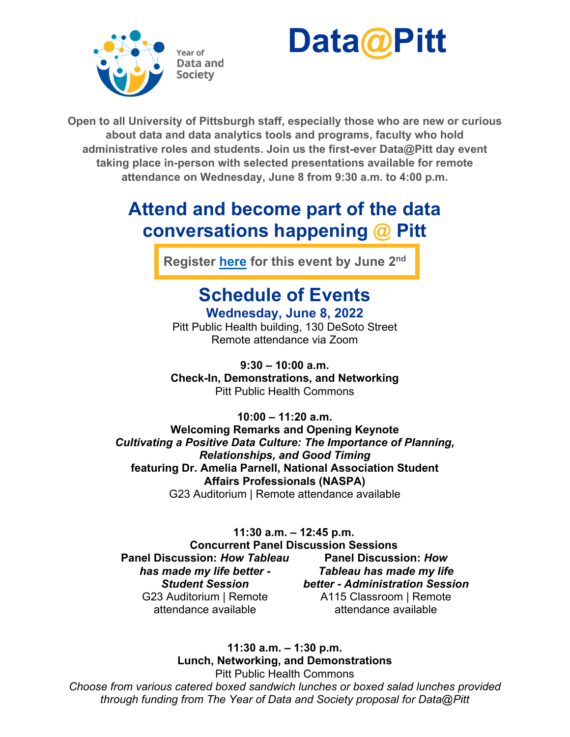



**Open to all University of Pittsburgh staff, especially those who are new or curious about data and data analytics tools and programs, faculty who hold administrative roles and students. Join us the first-ever Data@Pitt day event taking place in-person with selected presentations available for remote attendance on Wednesday, June 8 from 9:30 a.m. to 4:00 p.m.**

# **Attend and become part of the data conversations happening @ Pitt**

**Register [here](https://pitt.co1.qualtrics.com/jfe/form/SV_eLs8ohS9BQGPLh4) for this event by June 2nd**

## **Schedule of Events Wednesday, June 8, 2022**

Pitt Public Health building, 130 DeSoto Street Remote attendance via Zoom

**9:30 – 10:00 a.m. Check-In, Demonstrations, and Networking** Pitt Public Health Commons

**10:00 – 11:20 a.m. Welcoming Remarks and Opening Keynote** *Cultivating a Positive Data Culture: The Importance of Planning, Relationships, and Good Timing* **featuring Dr. Amelia Parnell, National Association Student Affairs Professionals (NASPA)** G23 Auditorium | Remote attendance available

### **11:30 a.m. – 12:45 p.m.**

**Concurrent Panel Discussion Sessions Panel Discussion:** *How Tableau has made my life better - Student Session* G23 Auditorium | Remote attendance available

**Panel Discussion:** *How Tableau has made my life better - Administration Session* A115 Classroom | Remote attendance available

**11:30 a.m. – 1:30 p.m. Lunch, Networking, and Demonstrations** Pitt Public Health Commons

*Choose from various catered boxed sandwich lunches or boxed salad lunches provided through funding from The Year of Data and Society proposal for Data@Pitt*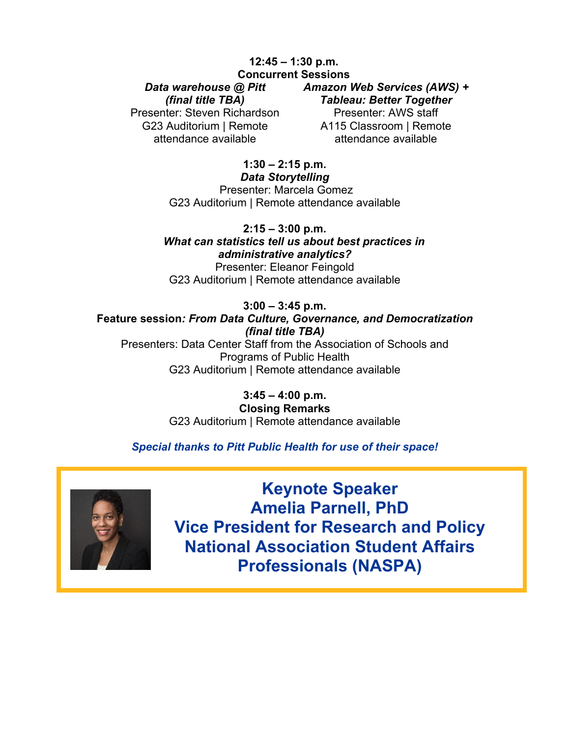#### **12:45 – 1:30 p.m. Concurrent Sessions**

#### *Data warehouse @ Pitt*

*(final title TBA)*

Presenter: Steven Richardson G23 Auditorium | Remote attendance available

#### *Amazon Web Services (AWS) +*

*Tableau: Better Together* 

Presenter: AWS staff A115 Classroom | Remote attendance available

#### **1:30 – 2:15 p.m.** *Data Storytelling*

Presenter: Marcela Gomez G23 Auditorium | Remote attendance available

**2:15 – 3:00 p.m.**  *What can statistics tell us about best practices in administrative analytics?* Presenter: Eleanor Feingold

G23 Auditorium | Remote attendance available

#### **3:00 – 3:45 p.m.**

**Feature session***: From Data Culture, Governance, and Democratization (final title TBA)*

Presenters: Data Center Staff from the Association of Schools and Programs of Public Health G23 Auditorium | Remote attendance available

> **3:45 – 4:00 p.m. Closing Remarks**  G23 Auditorium | Remote attendance available

### *Special thanks to Pitt Public Health for use of their space!*



**Keynote Speaker Amelia Parnell, PhD Vice President for Research and Policy National Association Student Affairs Professionals (NASPA)**